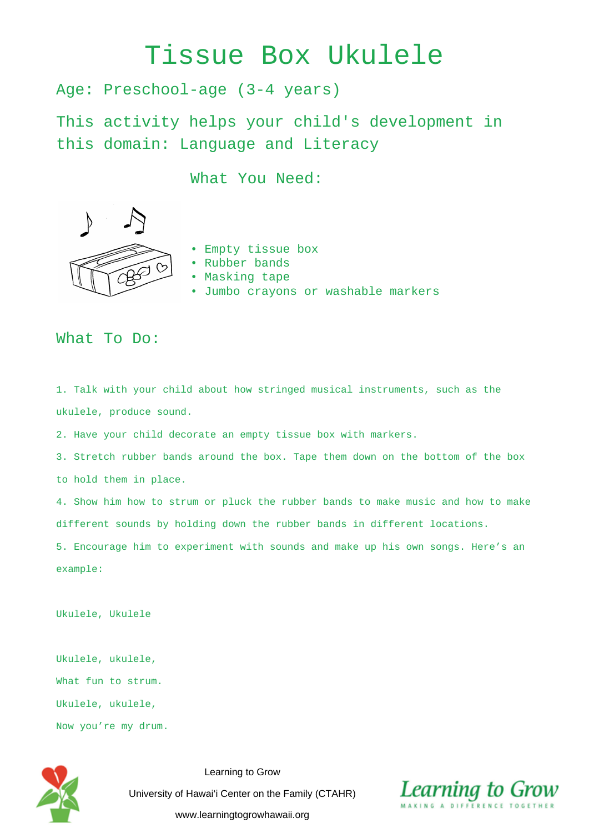## Tissue Box Ukulele

Age: Preschool-age (3-4 years)

This activity helps your child's development in this domain: Language and Literacy

What You Need:



• Empty tissue box

- Rubber bands
- Masking tape
- Jumbo crayons or washable markers

## What To Do:

1. Talk with your child about how stringed musical instruments, such as the ukulele, produce sound.

2. Have your child decorate an empty tissue box with markers.

3. Stretch rubber bands around the box. Tape them down on the bottom of the box to hold them in place.

4. Show him how to strum or pluck the rubber bands to make music and how to make different sounds by holding down the rubber bands in different locations.

5. Encourage him to experiment with sounds and make up his own songs. Here's an example:

Ukulele, Ukulele

Ukulele, ukulele, What fun to strum. Ukulele, ukulele, Now you're my drum.



Learning to Grow University of Hawai'i Center on the Family (CTAHR) www.learningtogrowhawaii.org